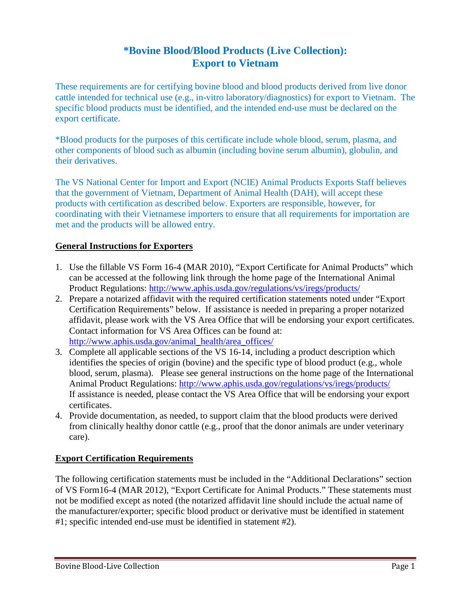## **\*Bovine Blood/Blood Products (Live Collection): Export to Vietnam**

These requirements are for certifying bovine blood and blood products derived from live donor cattle intended for technical use (e.g., in-vitro laboratory/diagnostics) for export to Vietnam. The specific blood products must be identified, and the intended end-use must be declared on the export certificate.

\*Blood products for the purposes of this certificate include whole blood, serum, plasma, and other components of blood such as albumin (including bovine serum albumin), globulin, and their derivatives.

The VS National Center for Import and Export (NCIE) Animal Products Exports Staff believes that the government of Vietnam, Department of Animal Health (DAH), will accept these products with certification as described below. Exporters are responsible, however, for coordinating with their Vietnamese importers to ensure that all requirements for importation are met and the products will be allowed entry.

## **General Instructions for Exporters**

- 1. Use the fillable VS Form 16-4 (MAR 2010), "Export Certificate for Animal Products" which can be accessed at the following link through the home page of the International Animal Product Regulations:<http://www.aphis.usda.gov/regulations/vs/iregs/products/>
- 2. Prepare a notarized affidavit with the required certification statements noted under "Export Certification Requirements" below. If assistance is needed in preparing a proper notarized affidavit, please work with the VS Area Office that will be endorsing your export certificates. Contact information for VS Area Offices can be found at: [http://www.aphis.usda.gov/animal\\_health/area\\_offices/](http://www.aphis.usda.gov/animal_health/area_offices/)
- 3. Complete all applicable sections of the VS 16-14, including a product description which identifies the species of origin (bovine) and the specific type of blood product (e.g., whole blood, serum, plasma). Please see general instructions on the home page of the International Animal Product Regulations:<http://www.aphis.usda.gov/regulations/vs/iregs/products/> If assistance is needed, please contact the VS Area Office that will be endorsing your export certificates.
- 4. Provide documentation, as needed, to support claim that the blood products were derived from clinically healthy donor cattle (e.g., proof that the donor animals are under veterinary care).

## **Export Certification Requirements**

The following certification statements must be included in the "Additional Declarations" section of VS Form16-4 (MAR 2012), "Export Certificate for Animal Products." These statements must not be modified except as noted (the notarized affidavit line should include the actual name of the manufacturer/exporter; specific blood product or derivative must be identified in statement #1; specific intended end-use must be identified in statement #2).